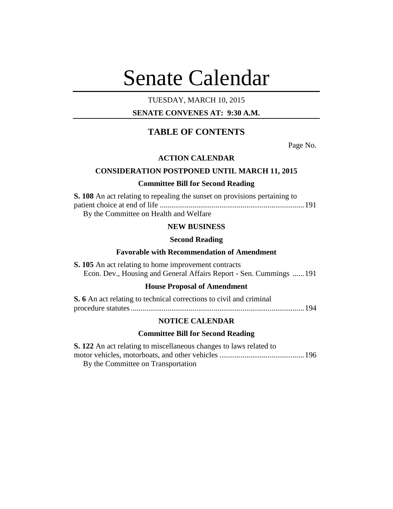# Senate Calendar

## TUESDAY, MARCH 10, 2015

## **SENATE CONVENES AT: 9:30 A.M.**

## **TABLE OF CONTENTS**

Page No.

## **ACTION CALENDAR**

## **CONSIDERATION POSTPONED UNTIL MARCH 11, 2015**

#### **Committee Bill for Second Reading**

| <b>S. 108</b> An act relating to repealing the sunset on provisions pertaining to |  |
|-----------------------------------------------------------------------------------|--|
|                                                                                   |  |
| By the Committee on Health and Welfare                                            |  |

## **NEW BUSINESS**

#### **Second Reading**

## **Favorable with Recommendation of Amendment**

**S. 105** An act relating to home improvement contracts Econ. Dev., Housing and General Affairs Report - Sen. Cummings ......191

## **House Proposal of Amendment**

| <b>S.</b> 6 An act relating to technical corrections to civil and criminal |  |
|----------------------------------------------------------------------------|--|
|                                                                            |  |

#### **NOTICE CALENDAR**

## **Committee Bill for Second Reading**

| <b>S. 122</b> An act relating to miscellaneous changes to laws related to |  |
|---------------------------------------------------------------------------|--|
|                                                                           |  |
| By the Committee on Transportation                                        |  |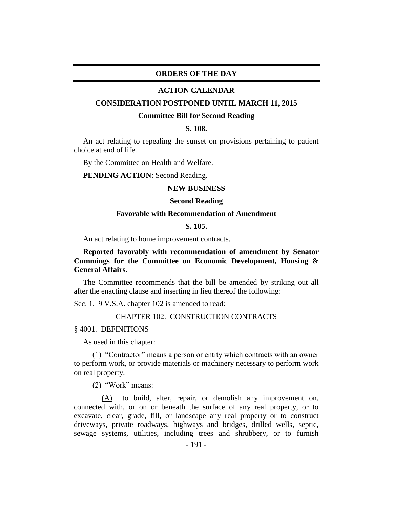#### **ORDERS OF THE DAY**

#### **ACTION CALENDAR**

#### **CONSIDERATION POSTPONED UNTIL MARCH 11, 2015**

#### **Committee Bill for Second Reading**

## **S. 108.**

An act relating to repealing the sunset on provisions pertaining to patient choice at end of life.

By the Committee on Health and Welfare.

**PENDING ACTION**: Second Reading.

#### **NEW BUSINESS**

#### **Second Reading**

#### **Favorable with Recommendation of Amendment**

#### **S. 105.**

An act relating to home improvement contracts.

## **Reported favorably with recommendation of amendment by Senator Cummings for the Committee on Economic Development, Housing & General Affairs.**

The Committee recommends that the bill be amended by striking out all after the enacting clause and inserting in lieu thereof the following:

Sec. 1. 9 V.S.A. chapter 102 is amended to read:

## CHAPTER 102. CONSTRUCTION CONTRACTS

§ 4001. DEFINITIONS

As used in this chapter:

(1) "Contractor" means a person or entity which contracts with an owner to perform work, or provide materials or machinery necessary to perform work on real property.

(2) "Work" means:

(A) to build, alter, repair, or demolish any improvement on, connected with, or on or beneath the surface of any real property, or to excavate, clear, grade, fill, or landscape any real property or to construct driveways, private roadways, highways and bridges, drilled wells, septic, sewage systems, utilities, including trees and shrubbery, or to furnish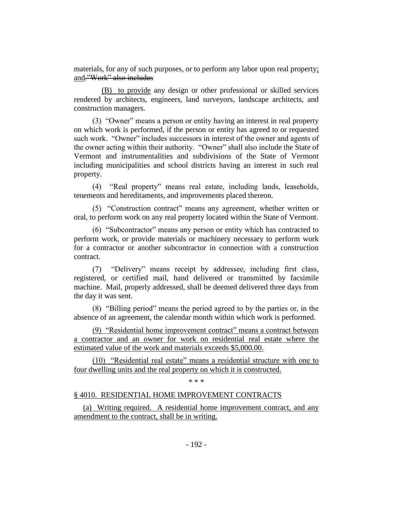materials, for any of such purposes, or to perform any labor upon real property; and."Work" also includes

(B) to provide any design or other professional or skilled services rendered by architects, engineers, land surveyors, landscape architects, and construction managers.

(3) "Owner" means a person or entity having an interest in real property on which work is performed, if the person or entity has agreed to or requested such work. "Owner" includes successors in interest of the owner and agents of the owner acting within their authority. "Owner" shall also include the State of Vermont and instrumentalities and subdivisions of the State of Vermont including municipalities and school districts having an interest in such real property.

(4) "Real property" means real estate, including lands, leaseholds, tenements and hereditaments, and improvements placed thereon.

(5) "Construction contract" means any agreement, whether written or oral, to perform work on any real property located within the State of Vermont.

(6) "Subcontractor" means any person or entity which has contracted to perform work, or provide materials or machinery necessary to perform work for a contractor or another subcontractor in connection with a construction contract.

(7) "Delivery" means receipt by addressee, including first class, registered, or certified mail, hand delivered or transmitted by facsimile machine. Mail, properly addressed, shall be deemed delivered three days from the day it was sent.

(8) "Billing period" means the period agreed to by the parties or, in the absence of an agreement, the calendar month within which work is performed.

(9) "Residential home improvement contract" means a contract between a contractor and an owner for work on residential real estate where the estimated value of the work and materials exceeds \$5,000.00.

(10) "Residential real estate" means a residential structure with one to four dwelling units and the real property on which it is constructed.

\* \* \*

## § 4010. RESIDENTIAL HOME IMPROVEMENT CONTRACTS

(a) Writing required. A residential home improvement contract, and any amendment to the contract, shall be in writing.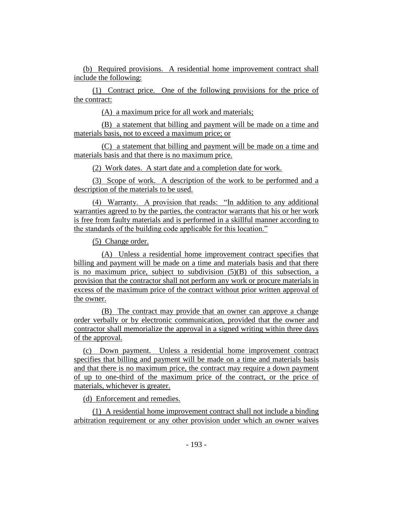(b) Required provisions. A residential home improvement contract shall include the following:

(1) Contract price. One of the following provisions for the price of the contract:

(A) a maximum price for all work and materials;

(B) a statement that billing and payment will be made on a time and materials basis, not to exceed a maximum price; or

(C) a statement that billing and payment will be made on a time and materials basis and that there is no maximum price.

(2) Work dates. A start date and a completion date for work.

(3) Scope of work. A description of the work to be performed and a description of the materials to be used.

(4) Warranty. A provision that reads: "In addition to any additional warranties agreed to by the parties, the contractor warrants that his or her work is free from faulty materials and is performed in a skillful manner according to the standards of the building code applicable for this location."

(5) Change order.

(A) Unless a residential home improvement contract specifies that billing and payment will be made on a time and materials basis and that there is no maximum price, subject to subdivision (5)(B) of this subsection, a provision that the contractor shall not perform any work or procure materials in excess of the maximum price of the contract without prior written approval of the owner.

(B) The contract may provide that an owner can approve a change order verbally or by electronic communication, provided that the owner and contractor shall memorialize the approval in a signed writing within three days of the approval.

(c) Down payment. Unless a residential home improvement contract specifies that billing and payment will be made on a time and materials basis and that there is no maximum price, the contract may require a down payment of up to one-third of the maximum price of the contract, or the price of materials, whichever is greater.

(d) Enforcement and remedies.

(1) A residential home improvement contract shall not include a binding arbitration requirement or any other provision under which an owner waives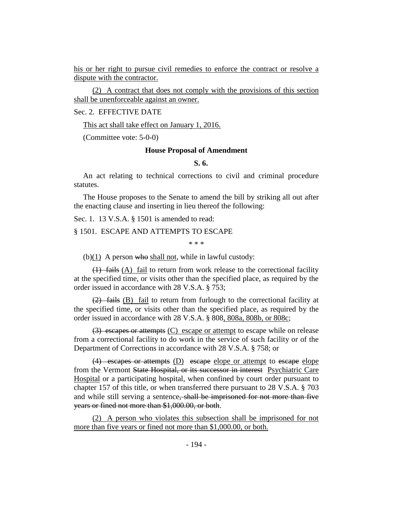his or her right to pursue civil remedies to enforce the contract or resolve a dispute with the contractor.

(2) A contract that does not comply with the provisions of this section shall be unenforceable against an owner.

#### Sec. 2. EFFECTIVE DATE

This act shall take effect on January 1, 2016.

(Committee vote: 5-0-0)

#### **House Proposal of Amendment**

## **S. 6.**

An act relating to technical corrections to civil and criminal procedure statutes.

The House proposes to the Senate to amend the bill by striking all out after the enacting clause and inserting in lieu thereof the following:

Sec. 1. 13 V.S.A. § 1501 is amended to read:

#### § 1501. ESCAPE AND ATTEMPTS TO ESCAPE

\* \* \*

 $(b)(1)$  A person who shall not, while in lawful custody:

 $(1)$  fails (A) fail to return from work release to the correctional facility at the specified time, or visits other than the specified place, as required by the order issued in accordance with 28 V.S.A. § 753;

 $(2)$  fails (B) fail to return from furlough to the correctional facility at the specified time, or visits other than the specified place, as required by the order issued in accordance with 28 V.S.A. § 808, 808a, 808b, or 808c;

(3) escapes or attempts (C) escape or attempt to escape while on release from a correctional facility to do work in the service of such facility or of the Department of Corrections in accordance with 28 V.S.A. § 758; or

(4) escapes or attempts (D) escape elope or attempt to escape elope from the Vermont State Hospital, or its successor in interest Psychiatric Care Hospital or a participating hospital, when confined by court order pursuant to chapter 157 of this title, or when transferred there pursuant to 28 V.S.A. § 703 and while still serving a sentence, shall be imprisoned for not more than five years or fined not more than \$1,000.00, or both.

(2) A person who violates this subsection shall be imprisoned for not more than five years or fined not more than \$1,000.00, or both.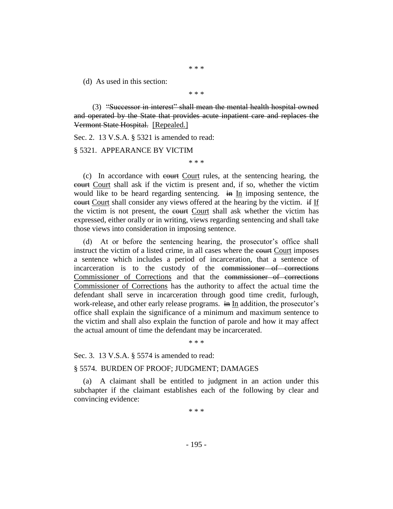\* \* \*

(d) As used in this section:

\* \* \*

(3) "Successor in interest" shall mean the mental health hospital owned and operated by the State that provides acute inpatient care and replaces the Vermont State Hospital. [Repealed.]

Sec. 2. 13 V.S.A. § 5321 is amended to read:

§ 5321. APPEARANCE BY VICTIM

\* \* \*

(c) In accordance with court Court rules, at the sentencing hearing, the court Court shall ask if the victim is present and, if so, whether the victim would like to be heard regarding sentencing. in In imposing sentence, the court Court shall consider any views offered at the hearing by the victim. if If the victim is not present, the court Court shall ask whether the victim has expressed, either orally or in writing, views regarding sentencing and shall take those views into consideration in imposing sentence.

(d) At or before the sentencing hearing, the prosecutor's office shall instruct the victim of a listed crime, in all cases where the eourt Court imposes a sentence which includes a period of incarceration, that a sentence of incarceration is to the custody of the commissioner of corrections Commissioner of Corrections and that the commissioner of corrections Commissioner of Corrections has the authority to affect the actual time the defendant shall serve in incarceration through good time credit, furlough, work-release, and other early release programs. in In addition, the prosecutor's office shall explain the significance of a minimum and maximum sentence to the victim and shall also explain the function of parole and how it may affect the actual amount of time the defendant may be incarcerated.

\* \* \*

Sec. 3. 13 V.S.A. § 5574 is amended to read:

#### § 5574. BURDEN OF PROOF; JUDGMENT; DAMAGES

(a) A claimant shall be entitled to judgment in an action under this subchapter if the claimant establishes each of the following by clear and convincing evidence:

\* \* \*

- 195 -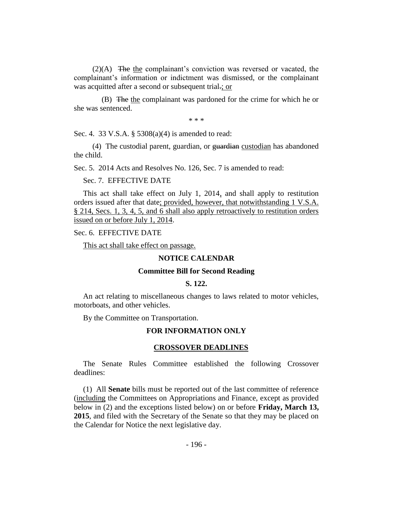(2)(A) The the complainant's conviction was reversed or vacated, the complainant's information or indictment was dismissed, or the complainant was acquitted after a second or subsequent trial.; or

(B) The the complainant was pardoned for the crime for which he or she was sentenced.

\* \* \*

Sec. 4. 33 V.S.A. § 5308(a)(4) is amended to read:

(4) The custodial parent, guardian, or guardian custodian has abandoned the child.

Sec. 5. 2014 Acts and Resolves No. 126, Sec. 7 is amended to read:

#### Sec. 7. EFFECTIVE DATE

This act shall take effect on July 1, 2014, and shall apply to restitution orders issued after that date; provided, however, that notwithstanding 1 V.S.A. § 214, Secs. 1, 3, 4, 5, and 6 shall also apply retroactively to restitution orders issued on or before July 1, 2014.

## Sec. 6. EFFECTIVE DATE

This act shall take effect on passage.

#### **NOTICE CALENDAR**

#### **Committee Bill for Second Reading**

#### **S. 122.**

An act relating to miscellaneous changes to laws related to motor vehicles, motorboats, and other vehicles.

By the Committee on Transportation.

#### **FOR INFORMATION ONLY**

#### **CROSSOVER DEADLINES**

The Senate Rules Committee established the following Crossover deadlines:

(1) All **Senate** bills must be reported out of the last committee of reference (including the Committees on Appropriations and Finance, except as provided below in (2) and the exceptions listed below) on or before **Friday, March 13, 2015**, and filed with the Secretary of the Senate so that they may be placed on the Calendar for Notice the next legislative day.